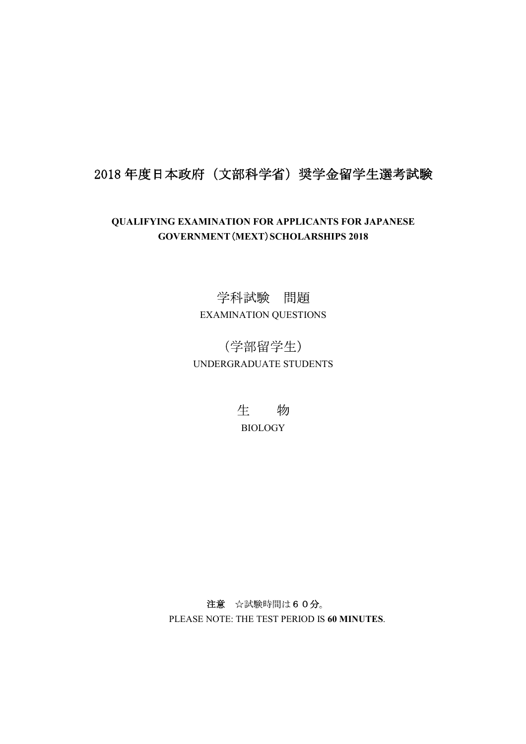## 2018年度日本政府(文部科学省)奨学金留学生選考試験

## QUALIFYING EXAMINATION FOR APPLICANTS FOR JAPANESE GOVERNMENT (MEXT) SCHOLARSHIPS 2018

## 学科試験 問題 EXAMINATION QUESTIONS

(学部留学生) UNDERGRADUATE STUDENTS

> 生 物 **BIOLOGY**

注意 ☆試験時間は60分。 PLEASE NOTE: THE TEST PERIOD IS 60 MINUTES.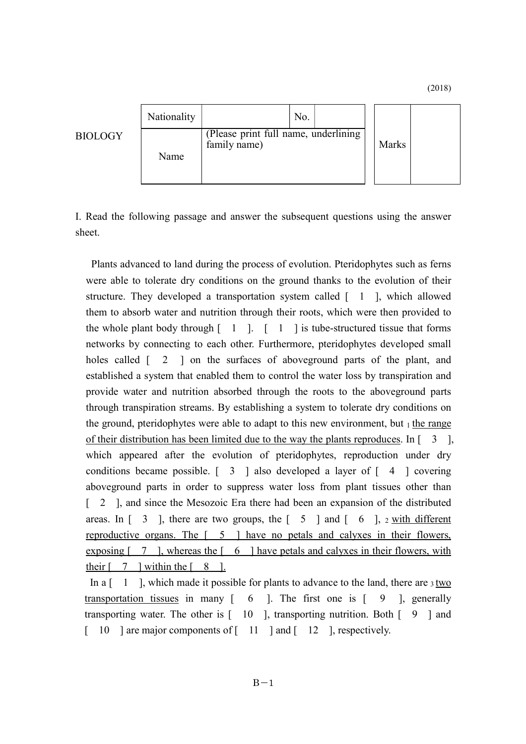(2018)

|                | Nationality | No.                                                  |       |  |
|----------------|-------------|------------------------------------------------------|-------|--|
| <b>BIOLOGY</b> | Name        | (Please print full name, underlining<br>family name) | Marks |  |

I. Read the following passage and answer the subsequent questions using the answer sheet.

 Plants advanced to land during the process of evolution. Pteridophytes such as ferns were able to tolerate dry conditions on the ground thanks to the evolution of their structure. They developed a transportation system called  $\begin{bmatrix} 1 \\ 1 \end{bmatrix}$ , which allowed them to absorb water and nutrition through their roots, which were then provided to the whole plant body through  $\begin{bmatrix} 1 \\ 1 \end{bmatrix}$ .  $\begin{bmatrix} 1 \\ 1 \end{bmatrix}$  is tube-structured tissue that forms networks by connecting to each other. Furthermore, pteridophytes developed small holes called  $\begin{bmatrix} 2 \\ 1 \end{bmatrix}$  on the surfaces of aboveground parts of the plant, and established a system that enabled them to control the water loss by transpiration and provide water and nutrition absorbed through the roots to the aboveground parts through transpiration streams. By establishing a system to tolerate dry conditions on the ground, pteridophytes were able to adapt to this new environment, but  $_1$  the range of their distribution has been limited due to the way the plants reproduces. In  $\begin{bmatrix} 3 \\ 1 \end{bmatrix}$ , which appeared after the evolution of pteridophytes, reproduction under dry conditions became possible.  $\begin{bmatrix} 3 \\ 1 \end{bmatrix}$  also developed a layer of  $\begin{bmatrix} 4 \\ 1 \end{bmatrix}$  covering aboveground parts in order to suppress water loss from plant tissues other than [ 2 ], and since the Mesozoic Era there had been an expansion of the distributed areas. In  $\begin{bmatrix} 3 \\ 1 \end{bmatrix}$ , there are two groups, the  $\begin{bmatrix} 5 \\ 1 \end{bmatrix}$  and  $\begin{bmatrix} 6 \\ 1 \end{bmatrix}$ , 2 with different reproductive organs. The [ 5 ] have no petals and calyxes in their flowers, exposing  $\begin{bmatrix} 7 \\ 1 \end{bmatrix}$ , whereas the  $\begin{bmatrix} 6 \\ 1 \end{bmatrix}$  have petals and calyxes in their flowers, with their  $\begin{bmatrix} 7 \\ 1 \end{bmatrix}$  within the  $\begin{bmatrix} 8 \\ 1 \end{bmatrix}$ .

In a  $\lceil 1 \rceil$ , which made it possible for plants to advance to the land, there are 3 two transportation tissues in many  $\begin{bmatrix} 6 \\ 1 \end{bmatrix}$ . The first one is  $\begin{bmatrix} 9 \\ 1 \end{bmatrix}$ , generally transporting water. The other is  $\lceil 10 \rceil$ , transporting nutrition. Both  $\lceil 9 \rceil$  and [ 10 ] are major components of [ 11 ] and [ 12 ], respectively.

 $B-1$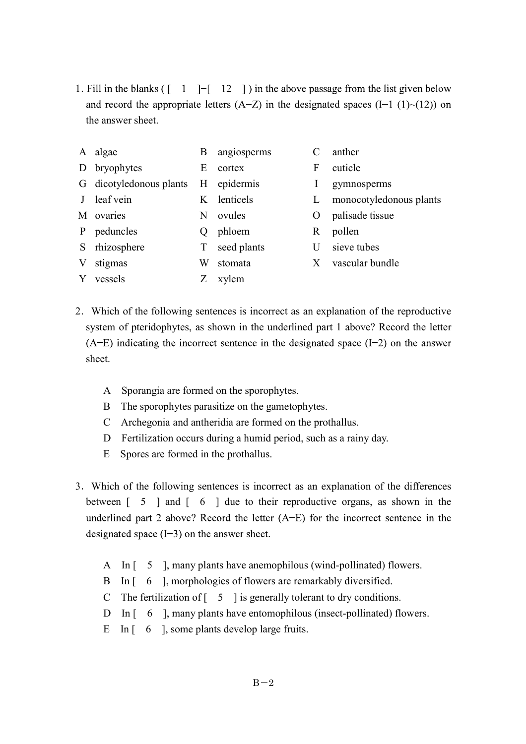1. Fill in the blanks ( $\begin{bmatrix} 1 \\ -1 \end{bmatrix}$  = [12 \]) in the above passage from the list given below and record the appropriate letters  $(A-Z)$  in the designated spaces  $(I-1)(1)-(12)$  on the answer sheet.

|   | A algae                 | Β           | angiosperms |    | anther                  |
|---|-------------------------|-------------|-------------|----|-------------------------|
|   | D bryophytes            | E           | cortex      | F  | cuticle                 |
|   | G dicotyledonous plants |             | H epidermis | 1  | gymnosperms             |
|   | J leaf vein             |             | K lenticels | L  | monocotyledonous plants |
|   | M ovaries               | N           | ovules      | O  | palisade tissue         |
|   | P peduncles             | $\mathbf O$ | phloem      | R. | pollen                  |
|   | S rhizosphere           | T           | seed plants | U  | sieve tubes             |
| V | stigmas                 | W           | stomata     | X  | vascular bundle         |
|   | Y vessels               |             | xylem       |    |                         |
|   |                         |             |             |    |                         |

- 2 Which of the following sentences is incorrect as an explanation of the reproductive system of pteridophytes, as shown in the underlined part 1 above? Record the letter  $(A-E)$  indicating the incorrect sentence in the designated space  $(I-2)$  on the answer sheet.
	- A Sporangia are formed on the sporophytes.
	- B The sporophytes parasitize on the gametophytes.
	- C Archegonia and antheridia are formed on the prothallus.
	- D Fertilization occurs during a humid period, such as a rainy day.
	- E Spores are formed in the prothallus.
- 3 Which of the following sentences is incorrect as an explanation of the differences between [ 5 ] and [ 6 ] due to their reproductive organs, as shown in the underlined part 2 above? Record the letter  $(A-E)$  for the incorrect sentence in the designated space  $(I-3)$  on the answer sheet.
	- A In [ 5 ], many plants have anemophilous (wind-pollinated) flowers.
	- B In [ 6 ], morphologies of flowers are remarkably diversified.
	- C The fertilization of  $\begin{bmatrix} 5 \\ 1 \end{bmatrix}$  is generally tolerant to dry conditions.
	- D In [ 6 ], many plants have entomophilous (insect-pollinated) flowers.
	- E In [ 6 ], some plants develop large fruits.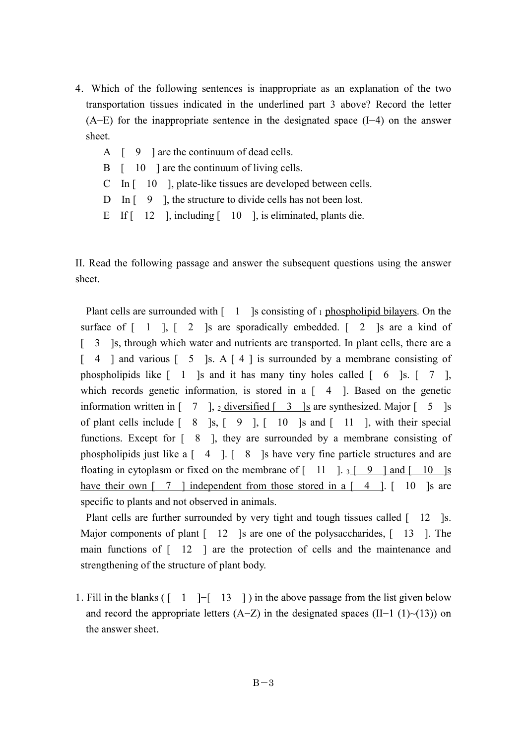- 4 Which of the following sentences is inappropriate as an explanation of the two transportation tissues indicated in the underlined part 3 above? Record the letter  $(A-E)$  for the inappropriate sentence in the designated space  $(I-4)$  on the answer sheet.
	- A  $\left[ 9 \right]$  are the continuum of dead cells.
	- B  $\begin{bmatrix} 10 \\ 10 \end{bmatrix}$  are the continuum of living cells.
	- C In [ 10 ], plate-like tissues are developed between cells.
	- D In [ 9 ], the structure to divide cells has not been lost.
	- E If  $\lceil 12 \rceil$ , including  $\lceil 10 \rceil$ , is eliminated, plants die.

II. Read the following passage and answer the subsequent questions using the answer sheet.

Plant cells are surrounded with  $\begin{bmatrix} 1 \\ 1 \end{bmatrix}$  is consisting of 1 phospholipid bilayers. On the surface of  $\begin{bmatrix} 1 \\ 1 \end{bmatrix}$ ,  $\begin{bmatrix} 2 \\ 1 \end{bmatrix}$  is are sporadically embedded.  $\begin{bmatrix} 2 \\ 3 \end{bmatrix}$  is are a kind of [ 3 ]s, through which water and nutrients are transported. In plant cells, there are a  $\begin{bmatrix} 4 \end{bmatrix}$  and various  $\begin{bmatrix} 5 \end{bmatrix}$  s. A  $\begin{bmatrix} 4 \end{bmatrix}$  is surrounded by a membrane consisting of phospholipids like  $\begin{bmatrix} 1 \\ 1 \end{bmatrix}$  and it has many tiny holes called  $\begin{bmatrix} 6 \\ 5 \end{bmatrix}$  s.  $\begin{bmatrix} 7 \\ 1 \end{bmatrix}$ , which records genetic information, is stored in a  $\begin{bmatrix} 4 \\ 1 \end{bmatrix}$ . Based on the genetic information written in  $\begin{bmatrix} 7 \\ 1 \end{bmatrix}$ , 2 diversified  $\begin{bmatrix} 3 \\ 1 \end{bmatrix}$  are synthesized. Major  $\begin{bmatrix} 5 \\ 1 \end{bmatrix}$  s of plant cells include  $\begin{bmatrix} 8 \\ 1 \end{bmatrix}$  s,  $\begin{bmatrix} 9 \\ 1 \end{bmatrix}$ ,  $\begin{bmatrix} 10 \\ 1 \end{bmatrix}$  s and  $\begin{bmatrix} 11 \\ 1 \end{bmatrix}$ , with their special functions. Except for [ 8 ], they are surrounded by a membrane consisting of phospholipids just like a  $\begin{bmatrix} 4 \\ 1 \end{bmatrix}$ .  $\begin{bmatrix} 8 \\ 1 \end{bmatrix}$  is have very fine particle structures and are floating in cytoplasm or fixed on the membrane of  $\begin{bmatrix} 11 & 1 & 3 \end{bmatrix}$  9 and  $\begin{bmatrix} 10 & 1s \end{bmatrix}$ have their own  $\begin{bmatrix} 7 \\ 1 \end{bmatrix}$  independent from those stored in a  $\begin{bmatrix} 4 \\ 1 \end{bmatrix}$ .  $\begin{bmatrix} 10 \\ 10 \end{bmatrix}$  is are specific to plants and not observed in animals.

Plant cells are further surrounded by very tight and tough tissues called [ 12 ]s. Major components of plant  $\lceil 12 \rceil$  is are one of the polysaccharides,  $\lceil 13 \rceil$ . The main functions of [ 12 ] are the protection of cells and the maintenance and strengthening of the structure of plant body.

1. Fill in the blanks  $($ [ 1 ] -[ 13 ] ) in the above passage from the list given below and record the appropriate letters  $(A-Z)$  in the designated spaces  $(II-1 (1)~(13))$  on the answer sheet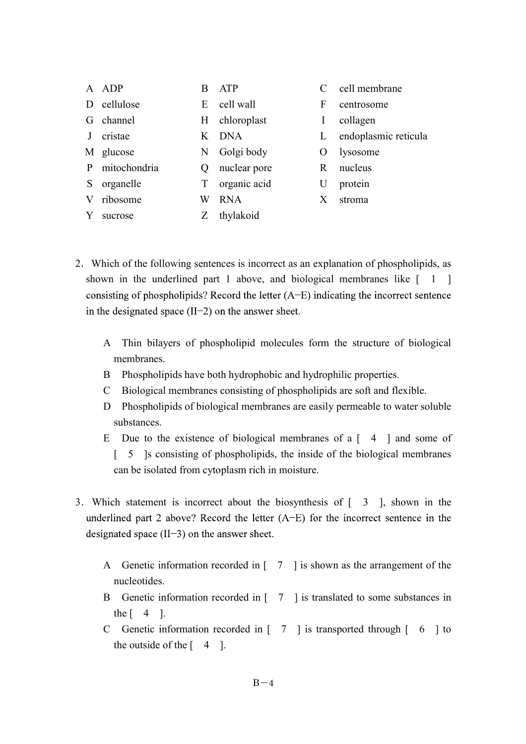|   | ADP          | В  | <b>ATP</b>   |    | cell membrane        |
|---|--------------|----|--------------|----|----------------------|
| Ð | cellulose    | E  | cell wall    | F  | centrosome           |
| G | channel      | H. | chloroplast  | I  | collagen             |
|   | cristae      | K  | <b>DNA</b>   |    | endoplasmic reticula |
|   | M glucose    | N  | Golgi body   | Ő  | lysosome             |
| P | mitochondria | Ő  | nuclear pore | R. | nucleus              |
| S | organelle    | T  | organic acid | U  | protein              |
| V | ribosome     | W  | <b>RNA</b>   | X  | stroma               |
|   | sucrose      |    | thylakoid    |    |                      |

- 2 Which of the following sentences is incorrect as an explanation of phospholipids, as shown in the underlined part 1 above, and biological membranes like  $\begin{bmatrix} 1 \\ 1 \end{bmatrix}$ consisting of phospholipids? Record the letter  $(A-E)$  indicating the incorrect sentence in the designated space  $(II-2)$  on the answer sheet.
	- A Thin bilayers of phospholipid molecules form the structure of biological membranes.
	- B Phospholipids have both hydrophobic and hydrophilic properties.
	- C Biological membranes consisting of phospholipids are soft and flexible.
	- D Phospholipids of biological membranes are easily permeable to water soluble substances.
	- E Due to the existence of biological membranes of a  $\begin{bmatrix} 4 \\ 1 \end{bmatrix}$  and some of [ 5 ]s consisting of phospholipids, the inside of the biological membranes can be isolated from cytoplasm rich in moisture.
- 3. Which statement is incorrect about the biosynthesis of  $\begin{bmatrix} 3 \\ 1 \end{bmatrix}$ , shown in the underlined part 2 above? Record the letter  $(A-E)$  for the incorrect sentence in the designated space  $(II-3)$  on the answer sheet.
	- A Genetic information recorded in [ 7 ] is shown as the arrangement of the nucleotides.
	- B Genetic information recorded in [ 7 ] is translated to some substances in the  $\begin{bmatrix} 4 \end{bmatrix}$ .
	- C Genetic information recorded in [ 7 ] is transported through [ 6 ] to the outside of the  $[4 \ 1]$ .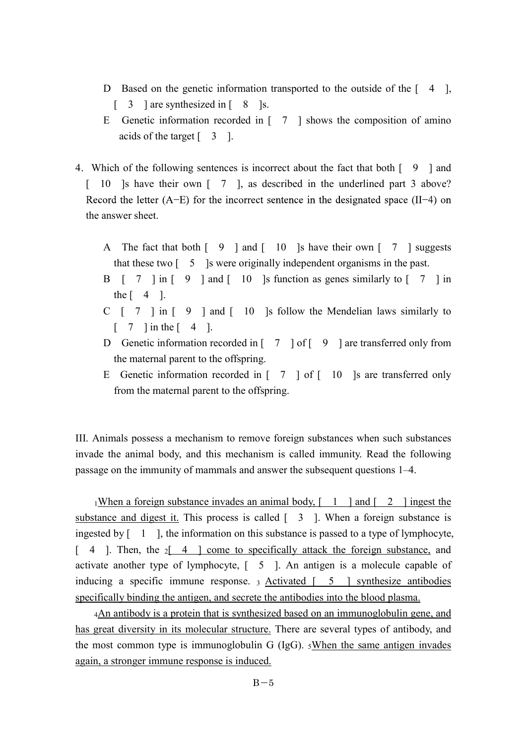- D Based on the genetic information transported to the outside of the  $\begin{bmatrix} 4 \end{bmatrix}$ ,  $\begin{bmatrix} 3 \\ 1 \end{bmatrix}$  are synthesized in  $\begin{bmatrix} 8 \\ 1 \end{bmatrix}$  s.
- E Genetic information recorded in  $\begin{bmatrix} 7 \\ 1 \end{bmatrix}$  shows the composition of amino acids of the target  $\begin{bmatrix} 3 \\ 1 \end{bmatrix}$ .
- 4 Which of the following sentences is incorrect about the fact that both [ 9 ] and [ 10 ]s have their own [ 7 ], as described in the underlined part 3 above? Record the letter  $(A-E)$  for the incorrect sentence in the designated space  $(II-4)$  on the answer sheet.
	- A The fact that both  $\begin{bmatrix} 9 \\ 10 \end{bmatrix}$  and  $\begin{bmatrix} 10 \\ 10 \end{bmatrix}$  is have their own  $\begin{bmatrix} 7 \\ 1 \end{bmatrix}$  suggests that these two [ 5 ]s were originally independent organisms in the past.
	- B  $\begin{bmatrix} 7 \\ 1 \end{bmatrix}$  in  $\begin{bmatrix} 9 \\ 1 \end{bmatrix}$  and  $\begin{bmatrix} 10 \\ 10 \end{bmatrix}$  is function as genes similarly to  $\begin{bmatrix} 7 \\ 1 \end{bmatrix}$  in the  $\lceil 4 \rceil$ .
	- C  $\begin{bmatrix} 7 \\ 1 \end{bmatrix}$  in  $\begin{bmatrix} 9 \\ 1 \end{bmatrix}$  and  $\begin{bmatrix} 10 \\ 10 \end{bmatrix}$  is follow the Mendelian laws similarly to  $\begin{bmatrix} 7 \\ 1 \end{bmatrix}$  in the  $\begin{bmatrix} 4 \\ 1 \end{bmatrix}$ .
	- D Genetic information recorded in [ 7 ] of [ 9 ] are transferred only from the maternal parent to the offspring.
	- E Genetic information recorded in  $\begin{bmatrix} 7 \\ 10 \end{bmatrix}$  of  $\begin{bmatrix} 10 \\ 10 \end{bmatrix}$  are transferred only from the maternal parent to the offspring.

III. Animals possess a mechanism to remove foreign substances when such substances invade the animal body, and this mechanism is called immunity. Read the following passage on the immunity of mammals and answer the subsequent questions 1–4.

1When a foreign substance invades an animal body,  $\begin{bmatrix} 1 \\ 1 \end{bmatrix}$  and  $\begin{bmatrix} 2 \\ 1 \end{bmatrix}$  ingest the substance and digest it. This process is called  $\begin{bmatrix} 3 \\ \end{bmatrix}$ . When a foreign substance is ingested by  $\begin{bmatrix} 1 \\ 1 \end{bmatrix}$ , the information on this substance is passed to a type of lymphocyte,  $\begin{bmatrix} 4 \end{bmatrix}$ . Then, the  $\begin{bmatrix} 4 \end{bmatrix}$  come to specifically attack the foreign substance, and activate another type of lymphocyte, [ 5 ]. An antigen is a molecule capable of inducing a specific immune response.  $_3$  Activated  $\begin{bmatrix} 5 \\ 1 \end{bmatrix}$  synthesize antibodies specifically binding the antigen, and secrete the antibodies into the blood plasma.

4An antibody is a protein that is synthesized based on an immunoglobulin gene, and has great diversity in its molecular structure. There are several types of antibody, and the most common type is immunoglobulin G (IgG).  $5$ When the same antigen invades again, a stronger immune response is induced.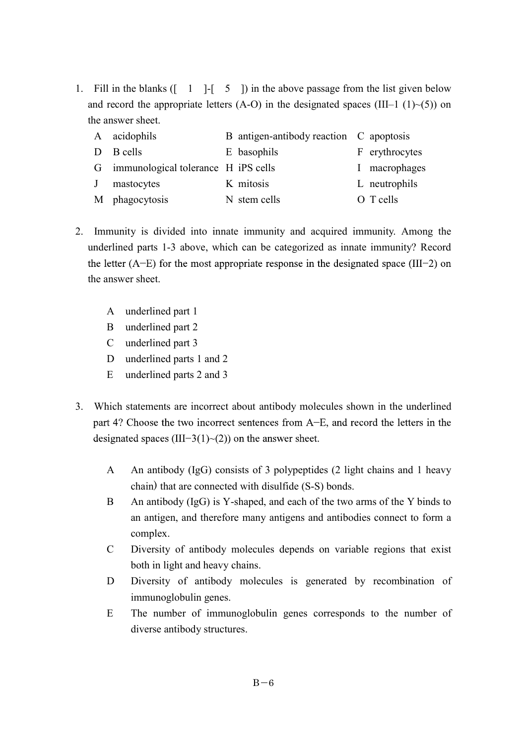1. Fill in the blanks  $($   $\begin{bmatrix} 1 \\ -1 \end{bmatrix}$ - $\begin{bmatrix} 5 \\ 1 \end{bmatrix}$  in the above passage from the list given below and record the appropriate letters (A-O) in the designated spaces (III-1 (1) $\sim$ (5)) on the answer sheet.

|   | A acidophils                          | B antigen-antibody reaction C apoptosis |                |
|---|---------------------------------------|-----------------------------------------|----------------|
|   | D B cells                             | E basophils                             | F erythrocytes |
|   | G immunological tolerance H iPS cells |                                         | I macrophages  |
| J | mastocytes                            | K mitosis                               | L neutrophils  |
|   | M phagocytosis                        | N stem cells                            | O T cells      |

- 2. Immunity is divided into innate immunity and acquired immunity. Among the underlined parts 1-3 above, which can be categorized as innate immunity? Record the letter  $(A-E)$  for the most appropriate response in the designated space (III-2) on the answer sheet.
	- A underlined part 1
	- B underlined part 2
	- C underlined part 3
	- D underlined parts 1 and 2
	- E underlined parts 2 and 3
- 3. Which statements are incorrect about antibody molecules shown in the underlined part 4? Choose the two incorrect sentences from A–E, and record the letters in the designated spaces (III-3(1) $\sim$ (2)) on the answer sheet.
	- A An antibody (IgG) consists of 3 polypeptides (2 light chains and 1 heavy chain) that are connected with disulfide (S-S) bonds.
	- B An antibody (IgG) is Y-shaped, and each of the two arms of the Y binds to an antigen, and therefore many antigens and antibodies connect to form a complex.
	- C Diversity of antibody molecules depends on variable regions that exist both in light and heavy chains.
	- D Diversity of antibody molecules is generated by recombination of immunoglobulin genes.
	- E The number of immunoglobulin genes corresponds to the number of diverse antibody structures.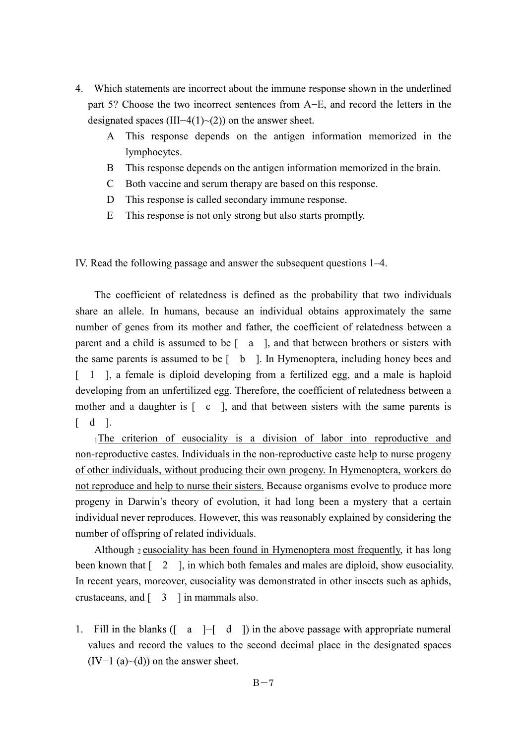- 4. Which statements are incorrect about the immune response shown in the underlined part 5? Choose the two incorrect sentences from A-E, and record the letters in the designated spaces (III-4(1) $\sim$ (2)) on the answer sheet.
	- A This response depends on the antigen information memorized in the lymphocytes.
	- B This response depends on the antigen information memorized in the brain.
	- C Both vaccine and serum therapy are based on this response.
	- D This response is called secondary immune response.
	- E This response is not only strong but also starts promptly.

IV. Read the following passage and answer the subsequent questions 1–4.

 The coefficient of relatedness is defined as the probability that two individuals share an allele. In humans, because an individual obtains approximately the same number of genes from its mother and father, the coefficient of relatedness between a parent and a child is assumed to be [ a ], and that between brothers or sisters with the same parents is assumed to be  $\begin{bmatrix} b \\ \end{bmatrix}$ . In Hymenoptera, including honey bees and [ 1 ], a female is diploid developing from a fertilized egg, and a male is haploid developing from an unfertilized egg. Therefore, the coefficient of relatedness between a mother and a daughter is  $\lceil c \rceil$ , and that between sisters with the same parents is  $\begin{bmatrix} d & 1 \end{bmatrix}$ .

1The criterion of eusociality is a division of labor into reproductive and non-reproductive castes. Individuals in the non-reproductive caste help to nurse progeny of other individuals, without producing their own progeny. In Hymenoptera, workers do not reproduce and help to nurse their sisters. Because organisms evolve to produce more progeny in Darwin's theory of evolution, it had long been a mystery that a certain individual never reproduces. However, this was reasonably explained by considering the number of offspring of related individuals.

 Although 2 eusociality has been found in Hymenoptera most frequently, it has long been known that  $\begin{bmatrix} 2 \\ 1 \end{bmatrix}$ , in which both females and males are diploid, show eusociality. In recent years, moreover, eusociality was demonstrated in other insects such as aphids, crustaceans, and  $\begin{bmatrix} 3 \\ 1 \end{bmatrix}$  in mammals also.

1. Fill in the blanks  $(I \ a \ ]-\lceil d \rceil$  in the above passage with appropriate numeral values and record the values to the second decimal place in the designated spaces  $(IV-1 (a)~(d))$  on the answer sheet.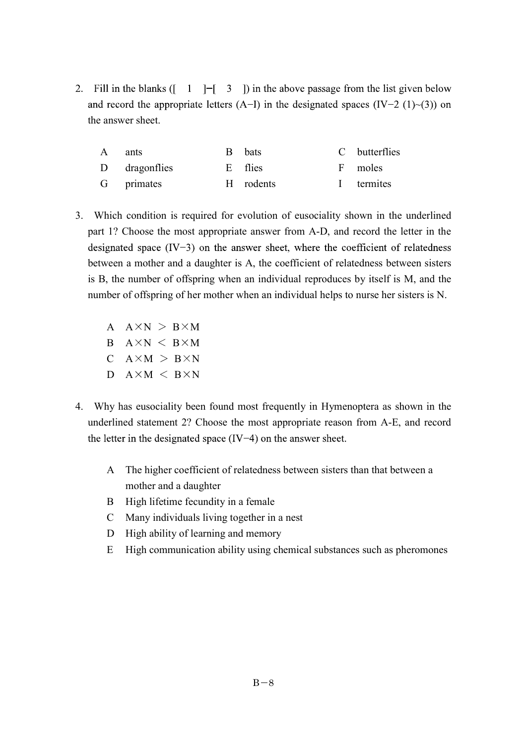2. Fill in the blanks  $($   $\begin{bmatrix} 1 \\ -1 \end{bmatrix}$   $\begin{bmatrix} 3 \\ 1 \end{bmatrix}$  in the above passage from the list given below and record the appropriate letters (A-I) in the designated spaces (IV-2 (1)~(3)) on the answer sheet.

| A ants        | B bats    | C butterflies |
|---------------|-----------|---------------|
| D dragonflies | E flies   | F moles       |
| G primates    | H rodents | I termites    |

- 3. Which condition is required for evolution of eusociality shown in the underlined part 1? Choose the most appropriate answer from A-D, and record the letter in the designated space  $(IV-3)$  on the answer sheet, where the coefficient of relatedness between a mother and a daughter is A, the coefficient of relatedness between sisters is B, the number of offspring when an individual reproduces by itself is M, and the number of offspring of her mother when an individual helps to nurse her sisters is N.
	- $A \times N > B \times M$  $B$   $A \times N$   $<$   $B \times M$  $C$   $A \times M$  >  $B \times N$  $D$   $A \times M \leq B \times N$
- 4. Why has eusociality been found most frequently in Hymenoptera as shown in the underlined statement 2? Choose the most appropriate reason from A-E, and record the letter in the designated space  $(IV-4)$  on the answer sheet.
	- A The higher coefficient of relatedness between sisters than that between a mother and a daughter
	- B High lifetime fecundity in a female
	- C Many individuals living together in a nest
	- D High ability of learning and memory
	- E High communication ability using chemical substances such as pheromones